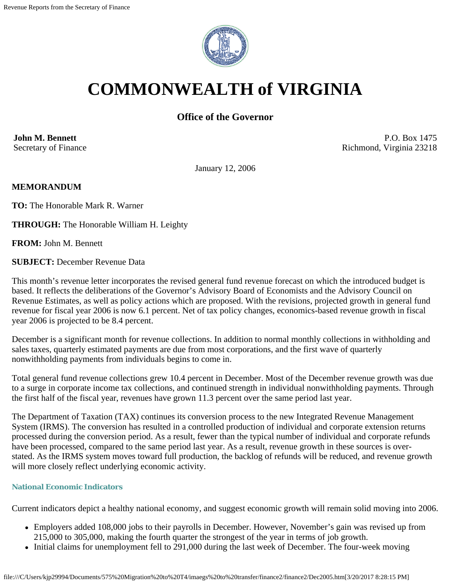

# **COMMONWEALTH of VIRGINIA**

# **Office of the Governor**

**John M. Bennett** Secretary of Finance

P.O. Box 1475 Richmond, Virginia 23218

January 12, 2006

#### **MEMORANDUM**

**TO:** The Honorable Mark R. Warner

**THROUGH:** The Honorable William H. Leighty

**FROM:** John M. Bennett

**SUBJECT:** December Revenue Data

This month's revenue letter incorporates the revised general fund revenue forecast on which the introduced budget is based. It reflects the deliberations of the Governor's Advisory Board of Economists and the Advisory Council on Revenue Estimates, as well as policy actions which are proposed. With the revisions, projected growth in general fund revenue for fiscal year 2006 is now 6.1 percent. Net of tax policy changes, economics-based revenue growth in fiscal year 2006 is projected to be 8.4 percent.

December is a significant month for revenue collections. In addition to normal monthly collections in withholding and sales taxes, quarterly estimated payments are due from most corporations, and the first wave of quarterly nonwithholding payments from individuals begins to come in.

Total general fund revenue collections grew 10.4 percent in December. Most of the December revenue growth was due to a surge in corporate income tax collections, and continued strength in individual nonwithholding payments. Through the first half of the fiscal year, revenues have grown 11.3 percent over the same period last year.

The Department of Taxation (TAX) continues its conversion process to the new Integrated Revenue Management System (IRMS). The conversion has resulted in a controlled production of individual and corporate extension returns processed during the conversion period. As a result, fewer than the typical number of individual and corporate refunds have been processed, compared to the same period last year. As a result, revenue growth in these sources is overstated. As the IRMS system moves toward full production, the backlog of refunds will be reduced, and revenue growth will more closely reflect underlying economic activity.

#### **National Economic Indicators**

Current indicators depict a healthy national economy, and suggest economic growth will remain solid moving into 2006.

- Employers added 108,000 jobs to their payrolls in December. However, November's gain was revised up from 215,000 to 305,000, making the fourth quarter the strongest of the year in terms of job growth.
- Initial claims for unemployment fell to 291,000 during the last week of December. The four-week moving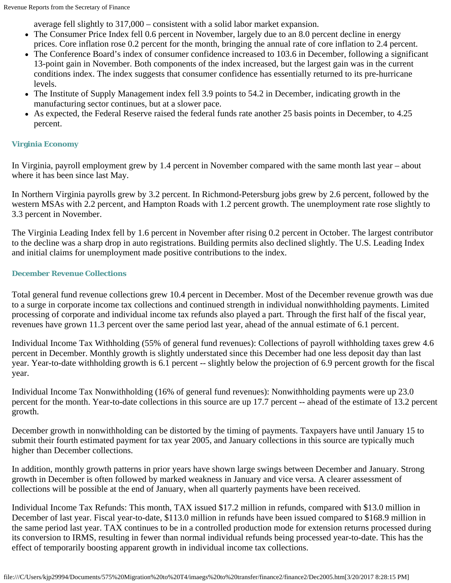average fell slightly to 317,000 – consistent with a solid labor market expansion.

- The Consumer Price Index fell 0.6 percent in November, largely due to an 8.0 percent decline in energy prices. Core inflation rose 0.2 percent for the month, bringing the annual rate of core inflation to 2.4 percent.
- The Conference Board's index of consumer confidence increased to 103.6 in December, following a significant 13-point gain in November. Both components of the index increased, but the largest gain was in the current conditions index. The index suggests that consumer confidence has essentially returned to its pre-hurricane levels.
- The Institute of Supply Management index fell 3.9 points to 54.2 in December, indicating growth in the manufacturing sector continues, but at a slower pace.
- As expected, the Federal Reserve raised the federal funds rate another 25 basis points in December, to 4.25 percent.

## **Virginia Economy**

In Virginia, payroll employment grew by 1.4 percent in November compared with the same month last year – about where it has been since last May.

In Northern Virginia payrolls grew by 3.2 percent. In Richmond-Petersburg jobs grew by 2.6 percent, followed by the western MSAs with 2.2 percent, and Hampton Roads with 1.2 percent growth. The unemployment rate rose slightly to 3.3 percent in November.

The Virginia Leading Index fell by 1.6 percent in November after rising 0.2 percent in October. The largest contributor to the decline was a sharp drop in auto registrations. Building permits also declined slightly. The U.S. Leading Index and initial claims for unemployment made positive contributions to the index.

## **December Revenue Collections**

Total general fund revenue collections grew 10.4 percent in December. Most of the December revenue growth was due to a surge in corporate income tax collections and continued strength in individual nonwithholding payments. Limited processing of corporate and individual income tax refunds also played a part. Through the first half of the fiscal year, revenues have grown 11.3 percent over the same period last year, ahead of the annual estimate of 6.1 percent.

Individual Income Tax Withholding (55% of general fund revenues): Collections of payroll withholding taxes grew 4.6 percent in December. Monthly growth is slightly understated since this December had one less deposit day than last year. Year-to-date withholding growth is 6.1 percent -- slightly below the projection of 6.9 percent growth for the fiscal year.

Individual Income Tax Nonwithholding (16% of general fund revenues): Nonwithholding payments were up 23.0 percent for the month. Year-to-date collections in this source are up 17.7 percent -- ahead of the estimate of 13.2 percent growth.

December growth in nonwithholding can be distorted by the timing of payments. Taxpayers have until January 15 to submit their fourth estimated payment for tax year 2005, and January collections in this source are typically much higher than December collections.

In addition, monthly growth patterns in prior years have shown large swings between December and January. Strong growth in December is often followed by marked weakness in January and vice versa. A clearer assessment of collections will be possible at the end of January, when all quarterly payments have been received.

Individual Income Tax Refunds: This month, TAX issued \$17.2 million in refunds, compared with \$13.0 million in December of last year. Fiscal year-to-date, \$113.0 million in refunds have been issued compared to \$168.9 million in the same period last year. TAX continues to be in a controlled production mode for extension returns processed during its conversion to IRMS, resulting in fewer than normal individual refunds being processed year-to-date. This has the effect of temporarily boosting apparent growth in individual income tax collections.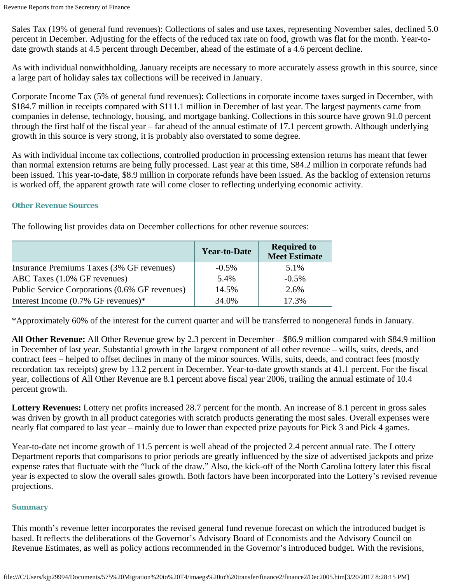Sales Tax (19% of general fund revenues): Collections of sales and use taxes, representing November sales, declined 5.0 percent in December. Adjusting for the effects of the reduced tax rate on food, growth was flat for the month. Year-todate growth stands at 4.5 percent through December, ahead of the estimate of a 4.6 percent decline.

As with individual nonwithholding, January receipts are necessary to more accurately assess growth in this source, since a large part of holiday sales tax collections will be received in January.

Corporate Income Tax (5% of general fund revenues): Collections in corporate income taxes surged in December, with \$184.7 million in receipts compared with \$111.1 million in December of last year. The largest payments came from companies in defense, technology, housing, and mortgage banking. Collections in this source have grown 91.0 percent through the first half of the fiscal year – far ahead of the annual estimate of 17.1 percent growth. Although underlying growth in this source is very strong, it is probably also overstated to some degree.

As with individual income tax collections, controlled production in processing extension returns has meant that fewer than normal extension returns are being fully processed. Last year at this time, \$84.2 million in corporate refunds had been issued. This year-to-date, \$8.9 million in corporate refunds have been issued. As the backlog of extension returns is worked off, the apparent growth rate will come closer to reflecting underlying economic activity.

#### **Other Revenue Sources**

|  |  | The following list provides data on December collections for other revenue sources: |  |  |  |  |  |  |
|--|--|-------------------------------------------------------------------------------------|--|--|--|--|--|--|
|--|--|-------------------------------------------------------------------------------------|--|--|--|--|--|--|

|                                                | <b>Year-to-Date</b> | <b>Required to</b><br><b>Meet Estimate</b> |
|------------------------------------------------|---------------------|--------------------------------------------|
| Insurance Premiums Taxes (3% GF revenues)      | $-0.5\%$            | 5.1%                                       |
| ABC Taxes (1.0% GF revenues)                   | 5.4%                | $-0.5\%$                                   |
| Public Service Corporations (0.6% GF revenues) | 14.5%               | 2.6%                                       |
| Interest Income $(0.7\%$ GF revenues)*         | 34.0%               | 17.3%                                      |

\*Approximately 60% of the interest for the current quarter and will be transferred to nongeneral funds in January.

**All Other Revenue:** All Other Revenue grew by 2.3 percent in December – \$86.9 million compared with \$84.9 million in December of last year. Substantial growth in the largest component of all other revenue – wills, suits, deeds, and contract fees – helped to offset declines in many of the minor sources. Wills, suits, deeds, and contract fees (mostly recordation tax receipts) grew by 13.2 percent in December. Year-to-date growth stands at 41.1 percent. For the fiscal year, collections of All Other Revenue are 8.1 percent above fiscal year 2006, trailing the annual estimate of 10.4 percent growth.

**Lottery Revenues:** Lottery net profits increased 28.7 percent for the month. An increase of 8.1 percent in gross sales was driven by growth in all product categories with scratch products generating the most sales. Overall expenses were nearly flat compared to last year – mainly due to lower than expected prize payouts for Pick 3 and Pick 4 games.

Year-to-date net income growth of 11.5 percent is well ahead of the projected 2.4 percent annual rate. The Lottery Department reports that comparisons to prior periods are greatly influenced by the size of advertised jackpots and prize expense rates that fluctuate with the "luck of the draw." Also, the kick-off of the North Carolina lottery later this fiscal year is expected to slow the overall sales growth. Both factors have been incorporated into the Lottery's revised revenue projections.

## **Summary**

This month's revenue letter incorporates the revised general fund revenue forecast on which the introduced budget is based. It reflects the deliberations of the Governor's Advisory Board of Economists and the Advisory Council on Revenue Estimates, as well as policy actions recommended in the Governor's introduced budget. With the revisions,